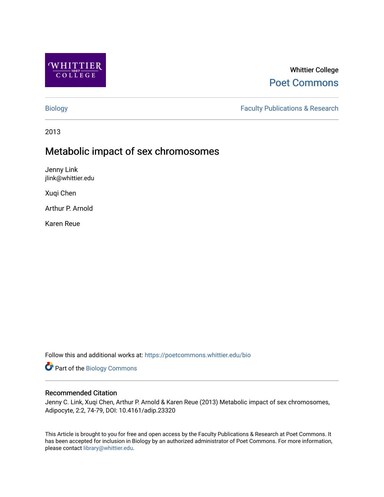

# Whittier College [Poet Commons](https://poetcommons.whittier.edu/)

[Biology](https://poetcommons.whittier.edu/bio) **Faculty Publications & Research** 

2013

# Metabolic impact of sex chromosomes

Jenny Link jlink@whittier.edu

Xuqi Chen

Arthur P. Arnold

Karen Reue

Follow this and additional works at: [https://poetcommons.whittier.edu/bio](https://poetcommons.whittier.edu/bio?utm_source=poetcommons.whittier.edu%2Fbio%2F11&utm_medium=PDF&utm_campaign=PDFCoverPages)

Part of the [Biology Commons](http://network.bepress.com/hgg/discipline/41?utm_source=poetcommons.whittier.edu%2Fbio%2F11&utm_medium=PDF&utm_campaign=PDFCoverPages) 

# Recommended Citation

Jenny C. Link, Xuqi Chen, Arthur P. Arnold & Karen Reue (2013) Metabolic impact of sex chromosomes, Adipocyte, 2:2, 74-79, DOI: 10.4161/adip.23320

This Article is brought to you for free and open access by the Faculty Publications & Research at Poet Commons. It has been accepted for inclusion in Biology by an authorized administrator of Poet Commons. For more information, please contact [library@whittier.edu](mailto:library@whittier.edu).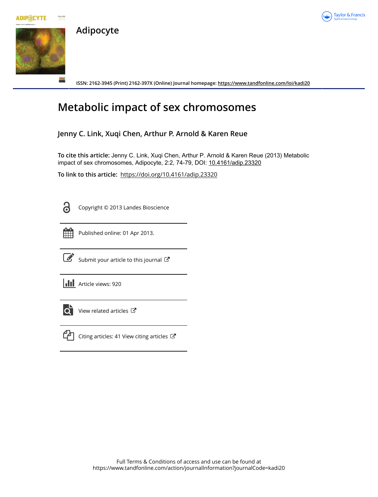



Taylor & Francis

**ISSN: 2162-3945 (Print) 2162-397X (Online) Journal homepage: <https://www.tandfonline.com/loi/kadi20>**

# **Metabolic impact of sex chromosomes**

**Jenny C. Link, Xuqi Chen, Arthur P. Arnold & Karen Reue**

**To cite this article:** Jenny C. Link, Xuqi Chen, Arthur P. Arnold & Karen Reue (2013) Metabolic impact of sex chromosomes, Adipocyte, 2:2, 74-79, DOI: [10.4161/adip.23320](https://www.tandfonline.com/action/showCitFormats?doi=10.4161/adip.23320)

**To link to this article:** <https://doi.org/10.4161/adip.23320>

Copyright © 2013 Landes Bioscience



Published online: 01 Apr 2013.



 $\overrightarrow{S}$  [Submit your article to this journal](https://www.tandfonline.com/action/authorSubmission?journalCode=kadi20&show=instructions)  $\overrightarrow{S}$ 

**III** Article views: 920

**Adipocyte**



 $\overrightarrow{Q}$  [View related articles](https://www.tandfonline.com/doi/mlt/10.4161/adip.23320)  $\overrightarrow{C}$ 



 $\Box$  [Citing articles: 41 View citing articles](https://www.tandfonline.com/doi/citedby/10.4161/adip.23320#tabModule)  $\Box$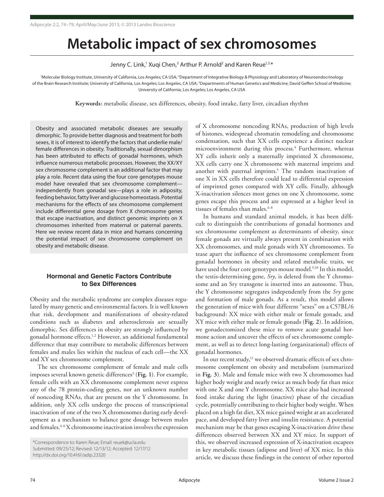# **Metabolic impact of sex chromosomes**

Jenny C. Link,<sup>1</sup> Xuqi Chen,<sup>2</sup> Arthur P. Arnold<sup>2</sup> and Karen Reue<sup>1,3,\*</sup>

'Molecular Biology Institute, University of California, Los Angeles; CA USA; <sup>2</sup>Department of Integrative Biology & Physiology and Laboratory of Neuroendocrinology of the Brain Research Institute; University of California, Los Angeles; Los Angeles, CA USA; <sup>3</sup>Departments of Human Genetics and Medicine; David Geffen School of Medicine; University of California, Los Angeles; Los Angeles, CA USA

**Keywords:** metabolic disease, sex differences, obesity, food intake, fatty liver, circadian rhythm

Obesity and associated metabolic diseases are sexually dimorphic. To provide better diagnosis and treatment for both sexes, it is of interest to identify the factors that underlie male/ female differences in obesity. Traditionally, sexual dimorphism has been attributed to effects of gonadal hormones, which influence numerous metabolic processes. However, the XX/XY sex chromosome complement is an additional factor that may play a role. Recent data using the four core genotypes mouse model have revealed that sex chromosome complement independently from gonadal sex—plays a role in adiposity, feeding behavior, fatty liver and glucose homeostasis. Potential mechanisms for the effects of sex chromosome complement include differential gene dosage from X chromosome genes that escape inactivation, and distinct genomic imprints on X chromosomes inherited from maternal or paternal parents. Here we review recent data in mice and humans concerning the potential impact of sex chromosome complement on obesity and metabolic disease.

# **Hormonal and Genetic Factors Contribute to Sex Differences**

Obesity and the metabolic syndrome are complex diseases regulated by many genetic and environmental factors. It is well known that risk, development and manifestations of obesity-related conditions such as diabetes and atherosclerosis are sexually dimorphic. Sex differences in obesity are strongly influenced by gonadal hormone effects.<sup>1,2</sup> However, an additional fundamental difference that may contribute to metabolic differences between females and males lies within the nucleus of each cell—the XX and XY sex chromosome complement.

The sex chromosome complement of female and male cells imposes several known genetic differences<sup>3</sup> (Fig. 1). For example, female cells with an XX chromosome complement never express any of the 78 protein-coding genes, nor an unknown number of noncoding RNAs, that are present on the Y chromosome. In addition, only XX cells undergo the process of transcriptional inactivation of one of the two X chromosomes during early development as a mechanism to balance gene dosage between males and females.4-6 X chromosome inactivation involves the expression

of X chromosome noncoding RNAs, production of high levels of histones, widespread chromatin remodeling and chromosome condensation, such that XX cells experience a distinct nuclear microenvironment during this process.<sup>4</sup> Furthermore, whereas XY cells inherit only a maternally imprinted X chromosome, XX cells carry one X chromosome with maternal imprints and another with paternal imprints.<sup>5</sup> The random inactivation of one X in XX cells therefore could lead to differential expression of imprinted genes compared with XY cells. Finally, although X-inactivation silences most genes on one X chromosome, some genes escape this process and are expressed at a higher level in tissues of females than males.<sup>6-8</sup>

In humans and standard animal models, it has been difficult to distinguish the contributions of gonadal hormones and sex chromosome complement as determinants of obesity, since female gonads are virtually always present in combination with XX chromosomes, and male gonads with XY chromosomes. To tease apart the influence of sex chromosome complement from gonadal hormones in obesity and related metabolic traits, we have used the four core genotypes mouse model.<sup>9,10</sup> In this model, the testis-determining gene, *Sry*, is deleted from the Y chromosome and an Sry transgene is inserted into an autosome. Thus, the Y chromosome segregates independently from the *Sry* gene and formation of male gonads. As a result, this model allows the generation of mice with four different "sexes" on a C57BL/6 background: XX mice with either male or female gonads, and XY mice with either male or female gonads (**Fig. 2**). In addition, we gonadectomized these mice to remove acute gonadal hormone action and uncover the effects of sex chromosome complement, as well as to detect long-lasting (organizational) effects of gonadal hormones.

In our recent study,<sup>11</sup> we observed dramatic effects of sex chromosome complement on obesity and metabolism (summarized in **Fig. 3**). Male and female mice with two X chromosomes had higher body weight and nearly twice as much body fat than mice with one X and one Y chromosome. XX mice also had increased food intake during the light (inactive) phase of the circadian cycle, potentially contributing to their higher body weight. When placed on a high fat diet, XX mice gained weight at an accelerated pace, and developed fatty liver and insulin resistance. A potential mechanism may be that genes escaping X-inactivation drive these differences observed between XX and XY mice. In support of this, we observed increased expression of X-inactivation escapees in key metabolic tissues (adipose and liver) of XX mice. In this article, we discuss these findings in the context of other reported

<sup>\*</sup>Correspondence to: Karen Reue; Email: reuek@ucla.edu Submitted: 09/25/12; Revised: 12/13/12; Accepted: 12/17/12 http://dx.doi.org/10.4161/adip.23320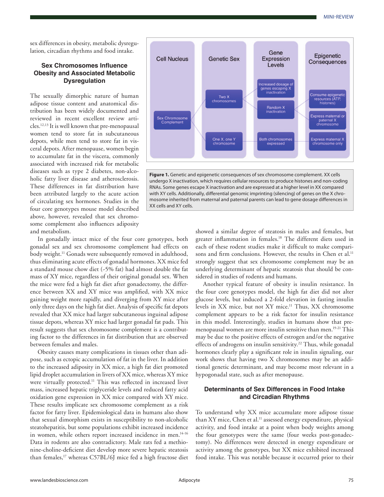sex differences in obesity, metabolic dysregulation, circadian rhythms and food intake.

### **Sex Chromosomes Influence Obesity and Associated Metabolic Dysregulation**

The sexually dimorphic nature of human adipose tissue content and anatomical distribution has been widely documented and reviewed in recent excellent review articles.12,13 It is well known that pre-menopausal women tend to store fat in subcutaneous depots, while men tend to store fat in visceral depots. After menopause, women begin to accumulate fat in the viscera, commonly associated with increased risk for metabolic diseases such as type 2 diabetes, non-alcoholic fatty liver disease and atherosclerosis. These differences in fat distribution have been attributed largely to the acute action of circulating sex hormones. Studies in the four core genotypes mouse model described above, however, revealed that sex chromosome complement also influences adiposity and metabolism.

In gonadally intact mice of the four core genotypes, both gonadal sex and sex chromosome complement had effects on body weight.<sup>11</sup> Gonads were subsequently removed in adulthood, thus eliminating acute effects of gonadal hormones. XX mice fed a standard mouse chow diet (~5% fat) had almost double the fat mass of XY mice, regardless of their original gonadal sex. When the mice were fed a high fat diet after gonadectomy, the difference between XX and XY mice was amplified, with XX mice gaining weight more rapidly, and diverging from XY mice after only three days on the high fat diet. Analysis of specific fat depots revealed that XX mice had larger subcutaneous inguinal adipose tissue depots, whereas XY mice had larger gonadal fat pads. This result suggests that sex chromosome complement is a contributing factor to the differences in fat distribution that are observed between females and males.

Obesity causes many complications in tissues other than adipose, such as ectopic accumulation of fat in the liver. In addition to the increased adiposity in XX mice, a high fat diet promoted lipid droplet accumulation in livers of XX mice, whereas XY mice were virtually protected.<sup>11</sup> This was reflected in increased liver mass, increased hepatic triglyceride levels and reduced fatty acid oxidation gene expression in XX mice compared with XY mice. These results implicate sex chromosome complement as a risk factor for fatty liver. Epidemiological data in humans also show that sexual dimorphism exists in susceptibility to non-alcoholic steatohepatitis, but some populations exhibit increased incidence in women, while others report increased incidence in men.<sup>14-16</sup> Data in rodents are also contradictory. Male rats fed a methionine-choline-deficient diet develop more severe hepatic steatosis than females,<sup>17</sup> whereas C57BL/6J mice fed a high fructose diet



**Figure 1.** Genetic and epigenetic consequences of sex chromosome complement. XX cells undergo X inactivation, which requires cellular resources to produce histones and non-coding RNAs. Some genes escape X inactivation and are expressed at a higher level in XX compared with XY cells. Additionally, differential genomic imprinting (silencing) of genes on the X chromosome inherited from maternal and paternal parents can lead to gene dosage differences in XX cells and XY cells.

> showed a similar degree of steatosis in males and females, but greater inflammation in females.<sup>18</sup> The different diets used in each of these rodent studies make it difficult to make comparisons and firm conclusions. However, the results in Chen et al.<sup>11</sup> strongly suggest that sex chromosome complement may be an underlying determinant of hepatic steatosis that should be considered in studies of rodents and humans.

> Another typical feature of obesity is insulin resistance. In the four core genotypes model, the high fat diet did not alter glucose levels, but induced a 2-fold elevation in fasting insulin levels in XX mice, but not XY mice.11 Thus, XX chromosome complement appears to be a risk factor for insulin resistance in this model. Interestingly, studies in humans show that premenopausal women are more insulin sensitive than men.19-21 This may be due to the positive effects of estrogen and/or the negative effects of androgens on insulin sensitivity.<sup>22</sup> Thus, while gonadal hormones clearly play a significant role in insulin signaling, our work shows that having two X chromosomes may be an additional genetic determinant, and may become most relevant in a hypogonadal state, such as after menopause.

### **Determinants of Sex Differences in Food Intake and Circadian Rhythms**

To understand why XX mice accumulate more adipose tissue than XY mice, Chen et al.<sup>11</sup> assessed energy expenditure, physical activity, and food intake at a point when body weights among the four genotypes were the same (four weeks post-gonadectomy). No differences were detected in energy expenditure or activity among the genotypes, but XX mice exhibited increased food intake. This was notable because it occurred prior to their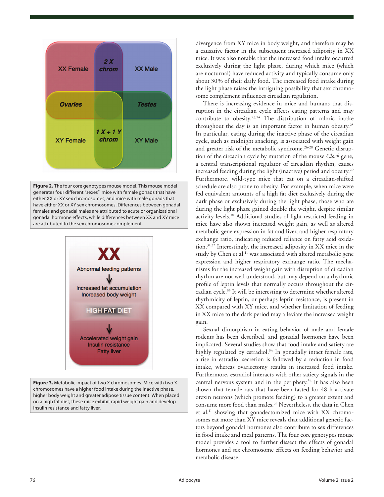

**Figure 2.** The four core genotypes mouse model. This mouse model generates four different "sexes": mice with female gonads that have either XX or XY sex chromosomes, and mice with male gonads that have either XX or XY sex chromosomes. Differences between gonadal females and gonadal males are attributed to acute or organizational gonadal hormone effects, while differences between XX and XY mice are attributed to the sex chromosome complement.



**Figure 3.** Metabolic impact of two X chromosomes. Mice with two X chromosomes have a higher food intake during the inactive phase, higher body weight and greater adipose tissue content. When placed on a high fat diet, these mice exhibit rapid weight gain and develop insulin resistance and fatty liver.

divergence from XY mice in body weight, and therefore may be a causative factor in the subsequent increased adiposity in XX mice. It was also notable that the increased food intake occurred exclusively during the light phase, during which mice (which are nocturnal) have reduced activity and typically consume only about 30% of their daily food. The increased food intake during the light phase raises the intriguing possibility that sex chromosome complement influences circadian regulation.

There is increasing evidence in mice and humans that disruption in the circadian cycle affects eating patterns and may contribute to obesity.23,24 The distribution of caloric intake throughout the day is an important factor in human obesity.25 In particular, eating during the inactive phase of the circadian cycle, such as midnight snacking, is associated with weight gain and greater risk of the metabolic syndrome.<sup>26-28</sup> Genetic disruption of the circadian cycle by mutation of the mouse *Clock* gene, a central transcriptional regulator of circadian rhythm, causes increased feeding during the light (inactive) period and obesity.<sup>29</sup> Furthermore, wild-type mice that eat on a circadian-shifted schedule are also prone to obesity. For example, when mice were fed equivalent amounts of a high fat diet exclusively during the dark phase or exclusively during the light phase, those who ate during the light phase gained double the weight, despite similar activity levels.30 Additional studies of light-restricted feeding in mice have also shown increased weight gain, as well as altered metabolic gene expression in fat and liver, and higher respiratory exchange ratio, indicating reduced reliance on fatty acid oxidation.31,32 Interestingly, the increased adiposity in XX mice in the study by Chen et al.<sup>11</sup> was associated with altered metabolic gene expression and higher respiratory exchange ratio. The mechanisms for the increased weight gain with disruption of circadian rhythm are not well understood, but may depend on a rhythmic profile of leptin levels that normally occurs throughout the circadian cycle.33 It will be interesting to determine whether altered rhythmicity of leptin, or perhaps leptin resistance, is present in XX compared with XY mice, and whether limitation of feeding in XX mice to the dark period may alleviate the increased weight gain.

Sexual dimorphism in eating behavior of male and female rodents has been described, and gonadal hormones have been implicated. Several studies show that food intake and satiety are highly regulated by estradiol.<sup>34</sup> In gonadally intact female rats, a rise in estradiol secretion is followed by a reduction in food intake, whereas ovariectomy results in increased food intake. Furthermore, estradiol interacts with other satiety signals in the central nervous system and in the periphery.<sup>34</sup> It has also been shown that female rats that have been fasted for 48 h activate orexin neurons (which promote feeding) to a greater extent and consume more food than males.<sup>35</sup> Nevertheless, the data in Chen et al.<sup>11</sup> showing that gonadectomized mice with XX chromosomes eat more than XY mice reveals that additional genetic factors beyond gonadal hormones also contribute to sex differences in food intake and meal patterns. The four core genotypes mouse model provides a tool to further dissect the effects of gonadal hormones and sex chromosome effects on feeding behavior and metabolic disease.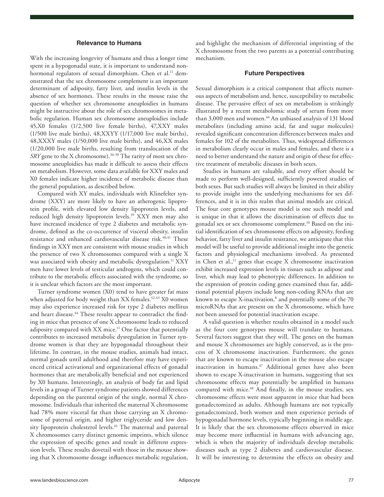### **Relevance to Humans**

With the increasing longevity of humans and thus a longer time spent in a hypogonadal state, it is important to understand nonhormonal regulators of sexual dimorphism. Chen et al.<sup>11</sup> demonstrated that the sex chromosome complement is an important determinant of adiposity, fatty liver, and insulin levels in the absence of sex hormones. These results in the mouse raise the question of whether sex chromosome aneuploidies in humans might be instructive about the role of sex chromosomes in metabolic regulation. Human sex chromosome aneuploidies include 45,X0 females (1/2,500 live female births), 47,XXY males (1/500 live male births), 48,XXYY (1/17,000 live male births), 48,XXXY males (1/50,000 live male births), and 46,XX males (1/20,000 live male births, resulting from translocation of the *SRY* gene to the X chromosome).<sup>36-38</sup> The rarity of most sex chromosome aneuploidies has made it difficult to assess their effects on metabolism. However, some data available for XXY males and X0 females indicate higher incidence of metabolic disease than the general population, as described below.

Compared with XY males, individuals with Klinefelter syndrome (XXY) are more likely to have an atherogenic lipoprotein profile, with elevated low density lipoprotein levels, and reduced high density lipoprotein levels.<sup>39</sup> XXY men may also have increased incidence of type 2 diabetes and metabolic syndrome, defined as the co-occurrence of visceral obesity, insulin resistance and enhanced cardiovascular disease risk.<sup>40,41</sup> These findings in XXY men are consistent with mouse studies in which the presence of two X chromosomes compared with a single X was associated with obesity and metabolic dysregulation.<sup>11</sup> XXY men have lower levels of testicular androgens, which could contribute to the metabolic effects associated with the syndrome, so it is unclear which factors are the most important.

Turner syndrome women (X0) tend to have greater fat mass when adjusted for body weight than XX females.<sup>42,43</sup> X0 women may also experience increased risk for type 2 diabetes mellitus and heart disease.<sup>44</sup> These results appear to contradict the finding in mice that presence of one X chromosome leads to reduced adiposity compared with XX mice.<sup>11</sup> One factor that potentially contributes to increased metabolic dysregulation in Turner syndrome women is that they are hypogonadal throughout their lifetime. In contrast, in the mouse studies, animals had intact, normal gonads until adulthood and therefore may have experienced critical activational and organizational effects of gonadal hormones that are metabolically beneficial and not experienced by X0 humans. Interestingly, an analysis of body fat and lipid levels in a group of Turner syndrome patients showed differences depending on the parental origin of the single, normal X chromosome. Individuals that inherited the maternal X chromosome had 78% more visceral fat than those carrying an X chromosome of paternal origin, and higher triglyceride and low density lipoprotein cholesterol levels.<sup>45</sup> The maternal and paternal X chromosomes carry distinct genomic imprints, which silence the expression of specific genes and result in different expression levels. These results dovetail with those in the mouse showing that X chromosome dosage influences metabolic regulation,

and highlight the mechanism of differential imprinting of the X chromosome from the two parents as a potential contributing mechanism.

#### **Future Perspectives**

Sexual dimorphism is a critical component that affects numerous aspects of metabolism and, hence, susceptibility to metabolic disease. The pervasive effect of sex on metabolism is strikingly illustrated by a recent metabolomic study of serum from more than 3,000 men and women.<sup>46</sup> An unbiased analysis of 131 blood metabolites (including amino acid, fat and sugar molecules) revealed significant concentration differences between males and females for 102 of the metabolites. Thus, widespread differences in metabolism clearly occur in males and females, and there is a need to better understand the nature and origin of these for effective treatment of metabolic diseases in both sexes.

Studies in humans are valuable, and every effort should be made to perform well-designed, sufficiently powered studies of both sexes. But such studies will always be limited in their ability to provide insight into the underlying mechanisms for sex differences, and it is in this realm that animal models are critical. The four core genotypes mouse model is one such model and is unique in that it allows the discrimination of effects due to gonadal sex or sex chromosome complement.10 Based on the initial identification of sex chromosome effects on adiposity, feeding behavior, fatty liver and insulin resistance, we anticipate that this model will be useful to provide additional insight into the genetic factors and physiological mechanisms involved. As presented in Chen et al.,<sup>11</sup> genes that escape X chromosome inactivation exhibit increased expression levels in tissues such as adipose and liver, which may lead to phenotypic differences. In addition to the expression of protein coding genes examined thus far, additional potential players include long non-coding RNAs that are known to escape X-inactivation,<sup>8</sup> and potentially some of the 70 microRNAs that are present on the X chromosome, which have not been assessed for potential inactivation escape.

A valid question is whether results obtained in a model such as the four core genotypes mouse will translate to humans. Several factors suggest that they will. The genes on the human and mouse X chromosomes are highly conserved, as is the process of X chromosome inactivation. Furthermore, the genes that are known to escape inactivation in the mouse also escape inactivation in humans.<sup>47</sup> Additional genes have also been shown to escape X-inactivation in humans, suggesting that sex chromosome effects may potentially be amplified in humans compared with mice.<sup>48</sup> And finally, in the mouse studies, sex chromosome effects were most apparent in mice that had been gonadectomized as adults. Although humans are not typically gonadectomized, both women and men experience periods of hypogonadal hormone levels, typically beginning in middle age. It is likely that the sex chromosome effects observed in mice may become more influential in humans with advancing age, which is when the majority of individuals develop metabolic diseases such as type 2 diabetes and cardiovascular disease. It will be interesting to determine the effects on obesity and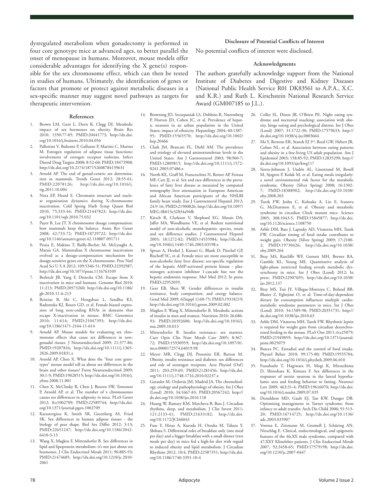dysregulated metabolism when gonadectomy is performed in four core genotype mice at advanced ages, to better parallel the onset of menopause in humans. Moreover, mouse models offer considerable advantages for identifying the X gene(s) responsible for the sex chromosome effect, which can then be tested in studies of humans. Ultimately, the identification of genes or factors that promote or protect against metabolic diseases in a sex-specific manner may suggest novel pathways as targets for therapeutic intervention.

#### **References**

- 1. Brown LM, Gent L, Davis K, Clegg DJ. Metabolic impact of sex hormones on obesity. Brain Res 2010; 1350:77-85; PMID:20441773; http://dx.doi. org/10.1016/j.brainres.2010.04.056
- 2. Pallottini V, Bulzomi P, Galluzzo P, Martini C, Marino M. Estrogen regulation of adipose tissue functions: involvement of estrogen receptor isoforms. Infect Disord Drug Targets 2008; 8:52-60; PMID:18473908; http://dx.doi.org/10.2174/187152608784139631
- Arnold AP. The end of gonad-centric sex determination in mammals. Trends Genet 2012; 28:55-61; PMID:22078126; http://dx.doi.org/10.1016/j. tig.2011.10.004
- 4. Nora EP, Heard E. Chromatin structure and nuclear organization dynamics during X-chromosome inactivation. Cold Spring Harb Symp Quant Biol 2010; 75:333-44; PMID:21447823; http://dx.doi. org/10.1101/sqb.2010.75.032
- 5. Payer B, Lee JT. X chromosome dosage compensation: how mammals keep the balance. Annu Rev Genet 2008; 42:733-72; PMID:18729722; http://dx.doi. org/10.1146/annurev.genet.42.110807.091711
- 6. Pessia E, Makino T, Bailly-Bechet M, McLysaght A, Marais GA. Mammalian X chromosome inactivation evolved as a dosage-compensation mechanism for dosage-sensitive genes on the X chromosome. Proc Natl Acad Sci U S A 2012; 109:5346-51; PMID:22392987; http://dx.doi.org/10.1073/pnas.1116763109
- 7. Berletch JB, Yang F, Disteche CM. Escape from X inactivation in mice and humans. Genome Biol 2010; 11:213; PMID:20573260; http://dx.doi.org/10.1186/ gb-2010-11-6-213
- 8. Reinius B, Shi C, Hengshuo L, Sandhu KS, Radomska KJ, Rosen GD, et al. Female-biased expression of long non-coding RNAs in domains that escape X-inactivation in mouse. BMC Genomics 2010; 11:614; PMID:21047393; http://dx.doi. org/10.1186/1471-2164-11-614
- 9. Arnold AP. Mouse models for evaluating sex chromosome effects that cause sex differences in nongonadal tissues. J Neuroendocrinol 2009; 21:377-86; PMID:19207816; http://dx.doi.org/10.1111/j.1365- 2826.2009.01831.x
- 10. Arnold AP, Chen X. What does the "four core genotypes" mouse model tell us about sex differences in the brain and other tissues? Front Neuroendocrinol 2009; 30:1-9; PMID:19028515; http://dx.doi.org/10.1016/j. yfrne.2008.11.001
- 11. Chen X, McClusky R, Chen J, Beaven SW, Tontonoz P, Arnold AP, et al. The number of x chromosomes causes sex differences in adiposity in mice. PLoS Genet 2012; 8:e1002709; PMID:22589744; http://dx.doi. org/10.1371/journal.pgen.1002709
- 12. Karastergiou K, Smith SR, Greenberg AS, Fried SK. Sex differences in human adipose tissues - the biology of pear shape. Biol Sex Differ 2012; 3:13; PMID:22651247; http://dx.doi.org/10.1186/2042- 6410-3-13
- 13. Wang X, Magkos F, Mittendorfer B. Sex differences in lipid and lipoprotein metabolism: it's not just about sex hormones. J Clin Endocrinol Metab 2011; 96:885-93; PMID:21474685; http://dx.doi.org/10.1210/jc.2010- 2061

#### 14. Browning JD, Szczepaniak LS, Dobbins R, Nuremberg P, Horton JD, Cohen JC, et al. Prevalence of hepatic steatosis in an urban population in the United States: impact of ethnicity. Hepatology 2004; 40:1387- 95; PMID:15565570; http://dx.doi.org/10.1002/ hep.20466

- 15. Clark JM, Brancati FL, Diehl AM. The prevalence and etiology of elevated aminotransferase levels in the United States. Am J Gastroenterol 2003; 98:960-7; PMID:12809815; http://dx.doi.org/10.1111/j.1572- 0241.2003.07486.x
- 16. North KE, Graff M, Franceschini N, Reiner AP, Feitosa MF, Carr JJ, et al. Sex and race differences in the prevalence of fatty liver disease as measured by computed tomography liver attenuation in European American and African American participants of the NHLBI family heart study. Eur J Gastroenterol Hepatol 2012; 24:9-16; PMID:21900826; http://dx.doi.org/10.1097/ MEG.0b013e32834a94fb
- 17. Kirsch R, Clarkson V, Shephard EG, Marais DA, Jaffer MA, Woodburne VE, et al. Rodent nutritional model of non-alcoholic steatohepatitis: species, strain and sex difference studies. J Gastroenterol Hepatol 2003; 18:1272-82; PMID:14535984; http://dx.doi. org/10.1046/j.1440-1746.2003.03198.x
- 18. Spruss A, Henkel J, Kanuri G, Blank D, Püschel GP, Bischoff SC, et al. Female mice are more susceptible to non-alcoholic fatty liver disease: sex-specific regulation of the hepatic AMP-activated protein kinase - plasminogen activator inhibitor 1-cascade but not the hepatic endotoxin response. Mol Med 2012; In press; PMID:22952059.
- 19. Geer EB, Shen W. Gender differences in insulin resistance, body composition, and energy balance. Gend Med 2009; 6(Suppl 1):60-75; PMID:19318219; http://dx.doi.org/10.1016/j.genm.2009.02.002
- 20. Magkos F, Wang X, Mittendorfer B. Metabolic actions of insulin in men and women. Nutrition 2010; 26:686- 93; PMID:20392600; http://dx.doi.org/10.1016/j. nut.2009.10.013
- 21. Mittendorfer B. Insulin resistance: sex matters. Curr Opin Clin Nutr Metab Care 2005; 8:367- 72; PMID:15930959; http://dx.doi.org/10.1097/01. mco.0000172574.64019.98
- 22. Meyer MR, Clegg DJ, Prossnitz ER, Barton M. Obesity, insulin resistance and diabetes: sex differences and role of oestrogen receptors. Acta Physiol (Oxf) 2011; 203:259-69; PMID:21281456; http://dx.doi. org/10.1111/j.1748-1716.2010.02237.x
- 23. Garaulet M, Ordovás JM, Madrid JA. The chronobiology, etiology and pathophysiology of obesity. Int J Obes (Lond) 2010; 34:1667-83; PMID:20567242; http:// dx.doi.org/10.1038/ijo.2010.118
- 24. Huang W, Ramsey KM, Marcheva B, Bass J. Circadian rhythms, sleep, and metabolism. J Clin Invest 2011; 121:2133-41; PMID:21633182; http://dx.doi. org/10.1172/JCI46043
- 25. Fuse Y, Hirao A, Kuroda H, Otsuka M, Tahara Y, Shibata S. Differential roles of breakfast only (one meal per day) and a bigger breakfast with a small dinner (two meals per day) in mice fed a high-fat diet with regard to induced obesity and lipid metabolism. J Circadian Rhythms 2012; 10:4; PMID:22587351; http://dx.doi. org/10.1186/1740-3391-10-4

### **Disclosure of Potential Conflicts of Interest**

No potential conflicts of interest were disclosed.

#### **Acknowledgments**

The authors gratefully acknowledge support from the National Institute of Diabetes and Digestive and Kidney Diseases (National Public Health Service R01 DK83561 to A.P.A., X.C. and K.R.) and Ruth L. Kirschstein National Research Service Award (GM007185 to J.L.).

- 26. Colles SL, Dixon JB, O'Brien PE. Night eating syndrome and nocturnal snacking: association with obesity, binge eating and psychological distress. Int J Obes (Lond) 2007; 31:1722-30; PMID:17579633; http:// dx.doi.org/10.1038/sj.ijo.0803664
- Ma Y, Bertone ER, Stanek EJ 3rd, Reed GW, Hebert JR, Cohen NL, et al. Association between eating patterns and obesity in a free-living US adult population. Am J Epidemiol 2003; 158:85-92; PMID:12835290; http:// dx.doi.org/10.1093/aje/kwg117
- 28. Sierra-Johnson J, Undén AL, Linestrand M, Rosell M, Sjogren P, Kolak M, et al. Eating meals irregularly: a novel environmental risk factor for the metabolic syndrome. Obesity (Silver Spring) 2008; 16:1302- 7; PMID:18388902; http://dx.doi.org/10.1038/ oby.2008.203
- 29. Turek FW, Joshu C, Kohsaka A, Lin E, Ivanova G, McDearmon E, et al. Obesity and metabolic syndrome in circadian Clock mutant mice. Science 2005; 308:1043-5; PMID:15845877; http://dx.doi. org/10.1126/science.1108750
- 30. Arble DM, Bass J, Laposky AD, Vitaterna MH, Turek FW. Circadian timing of food intake contributes to weight gain. Obesity (Silver Spring) 2009; 17:2100- 2; PMID:19730426; http://dx.doi.org/10.1038/ oby.2009.264
- 31. Bray MS, Ratcliffe WF, Grenett MH, Brewer RA, Gamble KL, Young ME. Quantitative analysis of light-phase restricted feeding reveals metabolic dyssynchrony in mice. Int J Obes (Lond) 2012; In press; PMID:22907695; http://dx.doi.org/10.1038/ ijo.2012.137
- 32. Bray MS, Tsai JY, Villegas-Montoya C, Boland BB, Blasier Z, Egbejimi O, et al. Time-of-day-dependent dietary fat consumption influences multiple cardiometabolic syndrome parameters in mice. Int J Obes (Lond) 2010; 34:1589-98; PMID:20351731; http:// dx.doi.org/10.1038/ijo.2010.63
- 33. Arble DM, Vitaterna MH, Turek FW. Rhythmic leptin is required for weight gain from circadian desynchronized feeding in the mouse. PLoS One 2011; 6:e25079; PMID:21949859; http://dx.doi.org/10.1371/journal. pone.0025079
- 34. Butera PC. Estradiol and the control of food intake. Physiol Behav 2010; 99:175-80; PMID:19555704; http://dx.doi.org/10.1016/j.physbeh.2009.06.010
- 35. Funabashi T, Hagiwara H, Mogi K, Mitsushima D, Shinohara K, Kimura F. Sex differences in the responses of orexin neurons in the lateral hypothalamic area and feeding behavior to fasting. Neurosci Lett 2009; 463:31-4; PMID:19616070; http://dx.doi. org/10.1016/j.neulet.2009.07.035
- 36. Donaldson MD, Gault EJ, Tan KW, Dunger DB. Optimising management in Turner syndrome: from infancy to adult transfer. Arch Dis Child 2006; 91:513- 20; PMID:16714725; http://dx.doi.org/10.1136/ adc.2003.035907
- 37. Vorona E, Zitzmann M, Gromoll J, Schüring AN, Nieschlag E. Clinical, endocrinological, and epigenetic features of the 46,XX male syndrome, compared with 47,XXY Klinefelter patients. J Clin Endocrinol Metab 2007; 92:3458-65; PMID:17579198; http://dx.doi. org/10.1210/jc.2007-0447